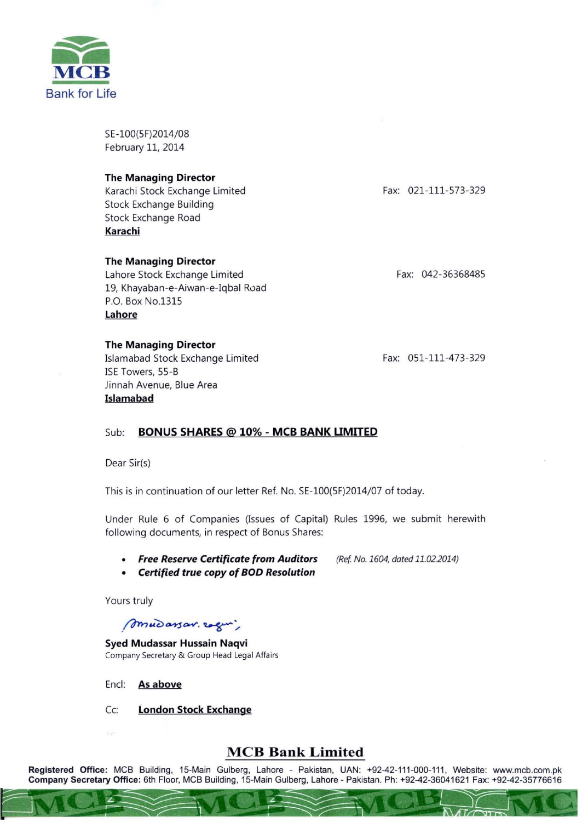

SE-100(5F)2014/08 February 11, 2014

### **The Managing Director**

Karachi Stock Exchange Limited Stock Exchange Building Stock Exchange Road **Karachi** 

### **The Managing Director**

Lahore Stock Exchange Limited 19, Khayaban-e-Aiwan-e-Iqbal Road P.O. Box NO.1315 **Lahore** 

### **The Managing Director**

Islamabad Stock Exchange Limited ISE Towers, 55-B Jinnah Avenue, Blue Area **Islamabad** 

Fax: 021-111-573-329

Fax: 042-36368485

Fax: 051-111-473-329

*(Ref No. 1604, dated 11.02.2014)* 

## Sub: **BONUS SHARES @ 10% - MeB BANK UMITED**

Dear Sir(s)

This is in continuation of our letter Ref. No. SE-100(5F)2014/07 of today.

Under Rule 6 of Companies (Issues of Capital) Rules 1996, we submit herewith following documents, in respect of Bonus Shares:

- *Free Reserve Certificate from Auditors*
- *Certified true copy of BOD Resolution*

Yours truly

# *mudarsan. regui,*

**Syed Mudassar Hussain Naqvi Company Secretary & Group Head Legal Affairs** 

Encl: **As above** 

 $\neg$  MCE

Cc: **London Stock Exchange** 

# **MCB Bank Limited**

Registered Office: MCB Building, 15-Main Gulberg, Lahore - Pakistan, UAN: +92-42-111 -000-111 , Website: www.mcb.com.pk Company Secretary Office: 6th Floor, MCB Building, 15-Main Gulberg, Lahore - Pakistan. Ph: +92-42-36041621 Fax: +92-42-35776616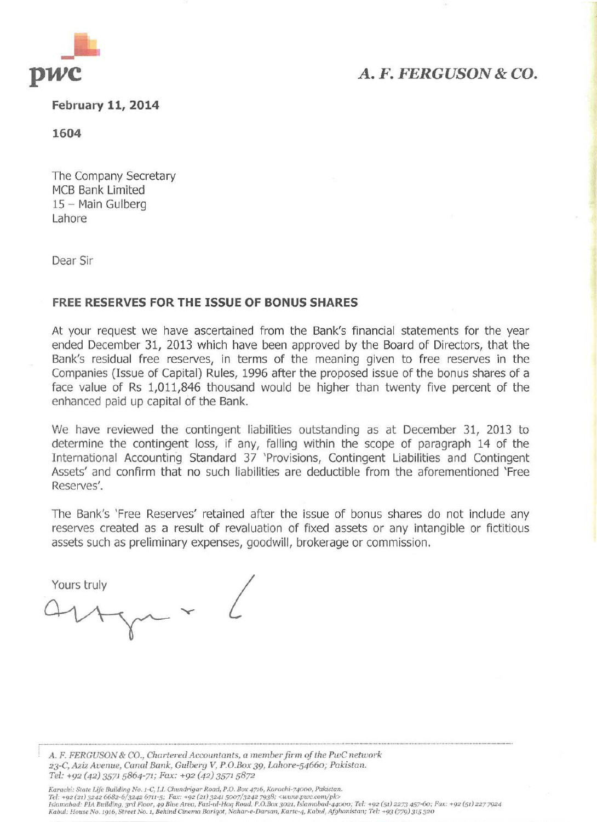

# *A. F. FERGUSON* **&** *CO.*

**February 11, 2014** 

**1604** 

The Company Secretary MCB Bank Limited 15 - Main Gulberg Lahore

Dear Sir

## **FREE RESERVES FOR THE ISSUE OF BONUS SHARES**

**At** your request we have ascertained from the Bank's financial statements for the year ended December 31, 2013 which have been approved by the Board of Directors, that the Bank's residual free reserves, in terms of the meaning given to free reserves in the Companies (Issue of Capital) Rules, 1996 after the proposed issue of the bonus shares of a face value of Rs 1,011,846 thousand would be higher than twenty five percent of the enhanced paid up capital of the Bank.

We have reviewed the contingent liabilities outstanding as at December 31, 2013 to determine the contingent loss, if any, falling within the scope of paragraph 14 of the International Accounting Standard 37 'Provisions, Contingent Liabilities and Contingent Assets' and confirm that no such liabilities are deductible from the aforementioned 'Free Reserves'.

The Bank's 'Free Reserves' retained after the issue of bonus shares do not include any reserves created as a result of revaluation of fixed assets or any intangible or fictitious assets such as preliminary expenses, goodwill, brokerage or commission.

Yours truly  $\overline{A}$ 

**A.** *F. FERGUSON* **&** *CO., Gllm'lel'ed Accountants, a memberfirm a/the PWC network 23-C.* **A2:iz** *Avenuc,* **Cumli** *Bank, Gulberg V,* **P.O.8o:r: 39,** *lAhore-S466o; Pakistan. Tel:* **+92 (42) 35715864-71;** *Fax:* **+92 (42)** *3571 5872* 

Karachi: State Life Building No. 1-C, I.I. Chundrigar Road, P.O. Box 4716, Karachi-74000, Pakistan. Tel: +92 (21) 3242 6682-6/3242 6711-5; Fax: +92 (21) 3241 5007/3242 7938; <www.pwc.com/pk><br>Islamabad: PIA Building, 3rd Floor, 49 Blue Area, Fazl-ul-Haq Road, P.O.Box 3021, Islamabad-44000; Tel: +92 (51) 2273 457-60; Fax:  $Kabul: House No. 1916, Street No. 1, Behind Cinema Bariqot, Nahar-e-Darsan, Kartc-4, Kabul, Afghanistan; Tel: +93 (779) 315 320$